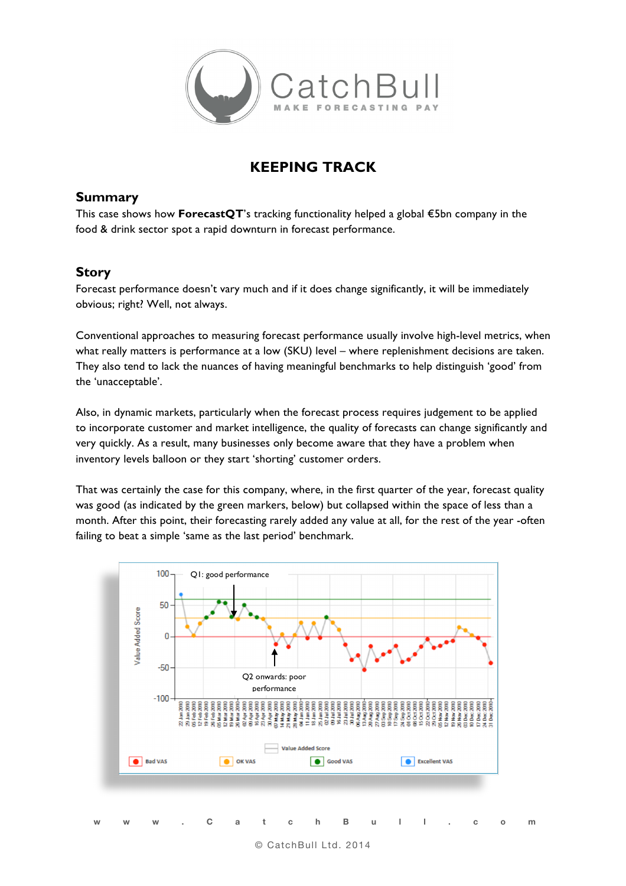

## **KEEPING TRACK**

## **Summary**

This case shows how **ForecastQT**'s tracking functionality helped a global €5bn company in the food & drink sector spot a rapid downturn in forecast performance.

## **Story**

Forecast performance doesn't vary much and if it does change significantly, it will be immediately obvious; right? Well, not always.

Conventional approaches to measuring forecast performance usually involve high-level metrics, when what really matters is performance at a low (SKU) level – where replenishment decisions are taken. They also tend to lack the nuances of having meaningful benchmarks to help distinguish 'good' from the 'unacceptable'.

Also, in dynamic markets, particularly when the forecast process requires judgement to be applied to incorporate customer and market intelligence, the quality of forecasts can change significantly and very quickly. As a result, many businesses only become aware that they have a problem when inventory levels balloon or they start 'shorting' customer orders.

That was certainly the case for this company, where, in the first quarter of the year, forecast quality was good (as indicated by the green markers, below) but collapsed within the space of less than a month. After this point, their forecasting rarely added any value at all, for the rest of the year -often failing to beat a simple 'same as the last period' benchmark.